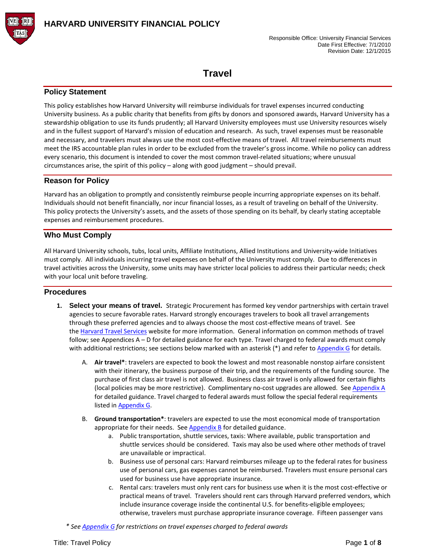

# **Travel**

## **Policy Statement**

This policy establishes how Harvard University will reimburse individuals for travel expenses incurred conducting University business. As a public charity that benefits from gifts by donors and sponsored awards, Harvard University has a stewardship obligation to use its funds prudently; all Harvard University employees must use University resources wisely and in the fullest support of Harvard's mission of education and research. As such, travel expenses must be reasonable and necessary, and travelers must always use the most cost-effective means of travel. All travel reimbursements must meet the IRS accountable plan rules in order to be excluded from the traveler's gross income. While no policy can address every scenario, this document is intended to cover the most common travel-related situations; where unusual circumstances arise, the spirit of this policy – along with good judgment – should prevail.

## **Reason for Policy**

Harvard has an obligation to promptly and consistently reimburse people incurring appropriate expenses on its behalf. Individuals should not benefit financially, nor incur financial losses, as a result of traveling on behalf of the University. This policy protects the University's assets, and the assets of those spending on its behalf, by clearly stating acceptable expenses and reimbursement procedures.

## **Who Must Comply**

All Harvard University schools, tubs, local units, Affiliate Institutions, Allied Institutions and University-wide Initiatives must comply. All individuals incurring travel expenses on behalf of the University must comply. Due to differences in travel activities across the University, some units may have stricter local policies to address their particular needs; check with your local unit before traveling.

### **Procedures**

- **1. Select your means of travel.** Strategic Procurement has formed key vendor partnerships with certain travel agencies to secure favorable rates. Harvard strongly encourages travelers to book all travel arrangements through these preferred agencies and to always choose the most cost-effective means of travel. See the [Harvard Travel Services](http://travel.harvard.edu/booking-your-travel) website for more information. General information on common methods of travel follow; see Appendices A – D for detailed guidance for each type. Travel charged to federal awards must comply with additional restrictions; see sections below marked with an asterisk (\*) and refer to Appendix G for details.
	- A. **Air travel\***: travelers are expected to book the lowest and most reasonable nonstop airfare consistent with their itinerary, the business purpose of their trip, and the requirements of the funding source. The purchase of first class air travel is not allowed. Business class air travel is only allowed for certain flights (local policies may be more restrictive). Complimentary no-cost upgrades are allowed. See Appendix A for detailed guidance. Travel charged to federal awards must follow the special federal requirements listed in Appendix G.
	- B. **Ground transportation\***: travelers are expected to use the most economical mode of transportation appropriate for their needs. See  $AppendixB$  for detailed guidance.
		- a. Public transportation, shuttle services, taxis: Where available, public transportation and shuttle services should be considered. Taxis may also be used where other methods of travel are unavailable or impractical.
		- b. Business use of personal cars: Harvard reimburses mileage up to the federal rates for business use of personal cars, gas expenses cannot be reimbursed. Travelers must ensure personal cars used for business use have appropriate insurance.
		- c. Rental cars: travelers must only rent cars for business use when it is the most cost-effective or practical means of travel. Travelers should rent cars through Harvard preferred vendors, which include insurance coverage inside the continental U.S. for benefits-eligible employees; otherwise, travelers must purchase appropriate insurance coverage. Fifteen passenger vans
	- *\* See Appendix G for restrictions on travel expenses charged to federal awards*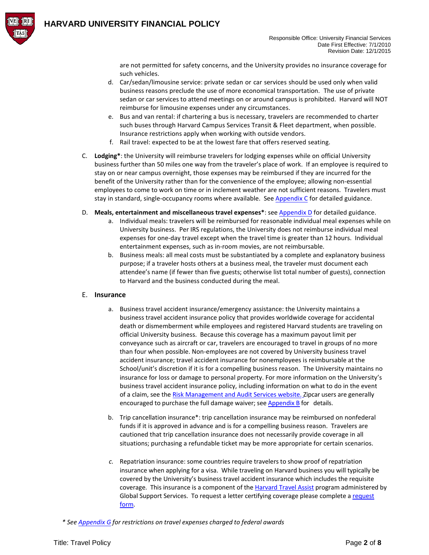

are not permitted for safety concerns, and the University provides no insurance coverage for such vehicles.

- d. Car/sedan/limousine service: private sedan or car services should be used only when valid business reasons preclude the use of more economical transportation. The use of private sedan or car services to attend meetings on or around campus is prohibited. Harvard will NOT reimburse for limousine expenses under any circumstances.
- e. Bus and van rental: if chartering a bus is necessary, travelers are recommended to charter such buses through Harvard Campus Services Transit & Fleet department, when possible. Insurance restrictions apply when working with outside vendors.
- f. Rail travel: expected to be at the lowest fare that offers reserved seating.
- C. **Lodging\***: the University will reimburse travelers for lodging expenses while on official University business further than 50 miles one way from the traveler's place of work. If an employee is required to stay on or near campus overnight, those expenses may be reimbursed if they are incurred for the benefit of the University rather than for the convenience of the employee; allowing non-essential employees to come to work on time or in inclement weather are not sufficient reasons. Travelers must stay in standard, single-occupancy rooms where available. S[ee Appendix C](#page-13-0) for detailed guidance.
- D. **Meals, entertainment and miscellaneous travel expenses\***: se[e Appendix D f](#page-14-0)or detailed guidance.
	- a. Individual meals: travelers will be reimbursed for reasonable individual meal expenses while on University business. Per IRS regulations, the University does not reimburse individual meal expenses for one-day travel except when the travel time is greater than 12 hours. Individual entertainment expenses, such as in-room movies, are not reimbursable.
	- b. Business meals: all meal costs must be substantiated by a complete and explanatory business purpose; if a traveler hosts others at a business meal, the traveler must document each attendee's name (if fewer than five guests; otherwise list total number of guests), connection to Harvard and the business conducted during the meal.

### E. **Insurance**

- a. Business travel accident insurance/emergency assistance: the University maintains a business travel accident insurance policy that provides worldwide coverage for accidental death or dismemberment while employees and registered Harvard students are traveling on official University business. Because this coverage has a maximum payout limit per conveyance such as aircraft or car, travelers are encouraged to travel in groups of no more than four when possible. Non-employees are not covered by University business travel accident insurance; travel accident insurance for nonemployees is reimbursable at the School/unit's discretion if it is for a compelling business reason. The University maintains no insurance for loss or damage to personal property. For more information on the University's business travel accident insurance policy, including information on what to do in the event of a claim, see the Risk Management [and Audit Services website.](http://rmas.fad.harvard.edu/pages/online-risk-management-system-0) Zipcar users are generally encouraged to purchase the full damage waiver; see [Appendix](#page-12-0) B for details.
- b. Trip cancellation insurance\*: trip cancellation insurance may be reimbursed on nonfederal funds if it is approved in advance and is for a compelling business reason. Travelers are cautioned that trip cancellation insurance does not necessarily provide coverage in all situations; purchasing a refundable ticket may be more appropriate for certain scenarios.
- *c.* Repatriation insurance: some countries require travelers to show proof of repatriation insurance when applying for a visa. While traveling on Harvard business you will typically be covered by the University's business travel accident insurance which includes the requisite coverage. This insurance is a component of the [Harvard Travel Assist](https://www.globalsupport.harvard.edu/travel-tools/harvard-travel-assist) program administered by Global Support Services. To request a letter certifying coverage please complete [a request](https://portal.globalsupport.harvard.edu/secure/RequestForHtaLetter.aspx) [form.](https://portal.globalsupport.harvard.edu/secure/RequestForHtaLetter.aspx)

*\* See Appendix G for restrictions on travel expenses charged to federal awards*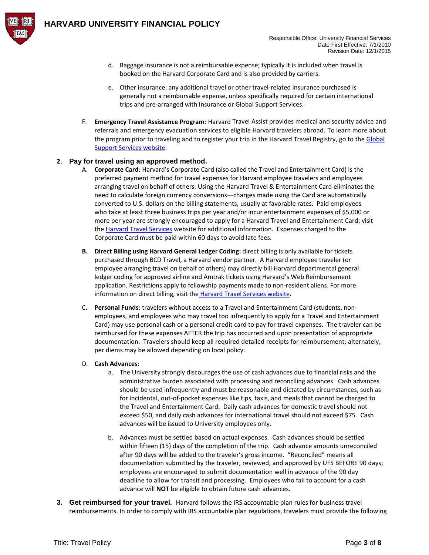

- d. Baggage insurance is not a reimbursable expense; typically it is included when travel is booked on the Harvard Corporate Card and is also provided by carriers.
- e. Other insurance: any additional travel or other travel-related insurance purchased is generally not a reimbursable expense, unless specifically required for certain international trips and pre-arranged with Insurance or Global Support Services.
- F. **Emergency Travel Assistance Program**: Harvard Travel Assist provides medical and security advice and referrals and emergency evacuation services to eligible Harvard travelers abroad. To learn more about the program prior to traveling and to register your trip in the Harvard Travel Registry, go to the Global [Support Services](http://globalsupport.harvard.edu/) website.

## **2. Pay for travel using an approved method.**

- A. **Corporate Card**: Harvard's Corporate Card (also called the Travel and Entertainment Card) is the preferred payment method for travel expenses for Harvard employee travelers and employees arranging travel on behalf of others. Using the Harvard Travel & Entertainment Card eliminates the need to calculate foreign currency conversions—charges made using the Card are automatically converted to U.S. dollars on the billing statements, usually at favorable rates. Paid employees who take at least three business trips per year and/or incur entertainment expenses of \$5,000 or more per year are strongly encouraged to apply for a Harvard Travel and Entertainment Card; visit the [Harvard Travel Services](http://travel.harvard.edu/) website for additional information. Expenses charged to the Corporate Card must be paid within 60 days to avoid late fees.
- **B. Direct Billing using Harvard General Ledger Coding:** direct billing is only available for tickets purchased through BCD Travel, a Harvard vendor partner. A Harvard employee traveler (or employee arranging travel on behalf of others) may directly bill Harvard departmental general ledger coding for approved airline and Amtrak tickets using Harvard's Web Reimbursement application. Restrictions apply to fellowship payments made to non-resident aliens. For more information on direct billing, visit the [Harvard Travel Services website.](http://travel.harvard.edu/)
- C. **Personal Funds**: travelers without access to a Travel and Entertainment Card (students, nonemployees, and employees who may travel too infrequently to apply for a Travel and Entertainment Card) may use personal cash or a personal credit card to pay for travel expenses. The traveler can be reimbursed for these expenses AFTER the trip has occurred and upon presentation of appropriate documentation. Travelers should keep all required detailed receipts for reimbursement; alternately, per diems may be allowed depending on local policy.

### D. **Cash Advances**:

- a. The University strongly discourages the use of cash advances due to financial risks and the administrative burden associated with processing and reconciling advances. Cash advances should be used infrequently and must be reasonable and dictated by circumstances, such as for incidental, out-of-pocket expenses like tips, taxis, and meals that cannot be charged to the Travel and Entertainment Card. Daily cash advances for domestic travel should not exceed \$50, and daily cash advances for international travel should not exceed \$75. Cash advances will be issued to University employees only.
- b. Advances must be settled based on actual expenses. Cash advances should be settled within fifteen (15) days of the completion of the trip. Cash advance amounts unreconciled after 90 days will be added to the traveler's gross income. "Reconciled" means all documentation submitted by the traveler, reviewed, and approved by UFS BEFORE 90 days; employees are encouraged to submit documentation well in advance of the 90 day deadline to allow for transit and processing. Employees who fail to account for a cash advance will **NOT** be eligible to obtain future cash advances.
- **3. Get reimbursed for your travel.** Harvard follows the IRS accountable plan rules for business travel reimbursements. In order to comply with IRS accountable plan regulations, travelers must provide the following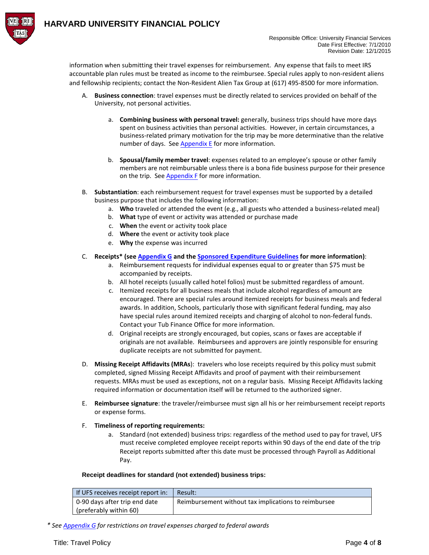

information when submitting their travel expenses for reimbursement. Any expense that fails to meet IRS accountable plan rules must be treated as income to the reimbursee. Special rules apply to non-resident aliens and fellowship recipients; contact the Non-Resident Alien Tax Group at (617) 495-8500 for more information.

- A. **Business connection**: travel expenses must be directly related to services provided on behalf of the University, not personal activities.
	- a. **Combining business with personal travel:** generally, business trips should have more days spent on business activities than personal activities. However, in certain circumstances, a business-related primary motivation for the trip may be more determinative than the relative number of days. Se[e Appendix E f](#page-15-0)or more information.
	- b. **Spousal/family member travel**: expenses related to an employee's spouse or other family members are not reimbursable unless there is a bona fide business purpose for their presence on the trip. See **Appendix F** for more information.
- B. **Substantiation**: each reimbursement request for travel expenses must be supported by a detailed business purpose that includes the following information:
	- a. **Who** traveled or attended the event (e.g., all guests who attended a business-related meal)
	- b. **What** type of event or activity was attended or purchase made
	- c. **When** the event or activity took place
	- d. **Where** the event or activity took place
	- e. **Why** the expense was incurred
- C. **Receipts\* (see Appendix G and the [Sponsored Expenditure Guidelines](http://osp.finance.harvard.edu/sponsored-expenditures-guidelines) for more information)**:
	- a. Reimbursement requests for individual expenses equal to or greater than \$75 must be accompanied by receipts.
	- b. All hotel receipts (usually called hotel folios) must be submitted regardless of amount.
	- c. Itemized receipts for all business meals that include alcohol regardless of amount are encouraged. There are special rules around itemized receipts for business meals and federal awards. In addition, Schools, particularly those with significant federal funding, may also have special rules around itemized receipts and charging of alcohol to non-federal funds. Contact your Tub Finance Office for more information.
	- d. Original receipts are strongly encouraged, but copies, scans or faxes are acceptable if originals are not available. Reimbursees and approvers are jointly responsible for ensuring duplicate receipts are not submitted for payment.
- D. **Missing Receipt Affidavits (MRAs**): travelers who lose receipts required by this policy must submit completed, signed Missing Receipt Affidavits and proof of payment with their reimbursement requests. MRAs must be used as exceptions, not on a regular basis. Missing Receipt Affidavits lacking required information or documentation itself will be returned to the authorized signer.
- E. **Reimbursee signature**: the traveler/reimbursee must sign all his or her reimbursement receipt reports or expense forms.
- F. **Timeliness of reporting requirements:**
	- a. Standard (not extended) business trips: regardless of the method used to pay for travel, UFS must receive completed employee receipt reports within 90 days of the end date of the trip Receipt reports submitted after this date must be processed through Payroll as Additional Pay.

#### **Receipt deadlines for standard (not extended) business trips:**

| If UFS receives receipt report in: | Result:                                              |
|------------------------------------|------------------------------------------------------|
| 0-90 days after trip end date      | Reimbursement without tax implications to reimbursee |
| (preferably within 60)             |                                                      |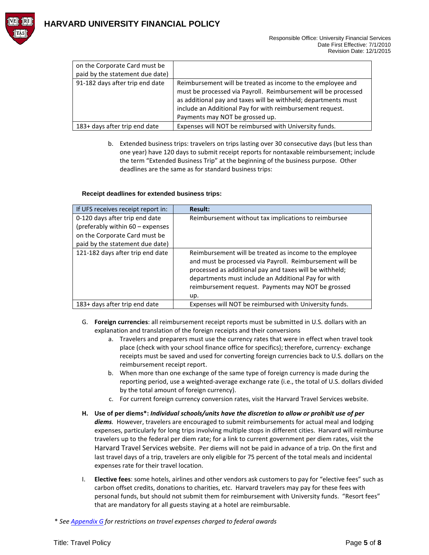

## **HARVARD UNIVERSITY FINANCIAL POLICY**

| on the Corporate Card must be   |                                                                |
|---------------------------------|----------------------------------------------------------------|
| paid by the statement due date) |                                                                |
| 91-182 days after trip end date | Reimbursement will be treated as income to the employee and    |
|                                 | must be processed via Payroll. Reimbursement will be processed |
|                                 | as additional pay and taxes will be withheld; departments must |
|                                 | include an Additional Pay for with reimbursement request.      |
|                                 | Payments may NOT be grossed up.                                |
| 183+ days after trip end date   | Expenses will NOT be reimbursed with University funds.         |

b. Extended business trips: travelers on trips lasting over 30 consecutive days (but less than one year) have 120 days to submit receipt reports for nontaxable reimbursement; include the term "Extended Business Trip" at the beginning of the business purpose. Other deadlines are the same as for standard business trips:

#### **Receipt deadlines for extended business trips:**

| If UFS receives receipt report in:                                                                  | <b>Result:</b>                                                                                                                                                                                                                                                                                     |
|-----------------------------------------------------------------------------------------------------|----------------------------------------------------------------------------------------------------------------------------------------------------------------------------------------------------------------------------------------------------------------------------------------------------|
| 0-120 days after trip end date<br>(preferably within 60 - expenses<br>on the Corporate Card must be | Reimbursement without tax implications to reimbursee                                                                                                                                                                                                                                               |
| paid by the statement due date)                                                                     |                                                                                                                                                                                                                                                                                                    |
| 121-182 days after trip end date                                                                    | Reimbursement will be treated as income to the employee<br>and must be processed via Payroll. Reimbursement will be<br>processed as additional pay and taxes will be withheld;<br>departments must include an Additional Pay for with<br>reimbursement request. Payments may NOT be grossed<br>up. |
| 183+ days after trip end date                                                                       | Expenses will NOT be reimbursed with University funds.                                                                                                                                                                                                                                             |

- G. **Foreign currencies**: all reimbursement receipt reports must be submitted in U.S. dollars with an explanation and translation of the foreign receipts and their conversions
	- a. Travelers and preparers must use the currency rates that were in effect when travel took place (check with your school finance office for specifics); therefore, currency- exchange receipts must be saved and used for converting foreign currencies back to U.S. dollars on the reimbursement receipt report.
	- b. When more than one exchange of the same type of foreign currency is made during the reporting period, use a weighted-average exchange rate (i.e., the total of U.S. dollars divided by the total amount of foreign currency).
	- c. For current foreign currency conversion rates, visit the Harvard Travel Services website.
- **H. Use of per diems\*:** *Individual schools/units have the discretion to allow or prohibit use of per diems.* However, travelers are encouraged to submit reimbursements for actual meal and lodging expenses, particularly for long trips involving multiple stops in different cities. Harvard will reimburse travelers up to the federal per diem rate; for a link to current government per diem rates, visit th[e](http://www.travel.harvard.edu/cgi-bin/travel/resources.php) [Harvard Travel Services website.](http://www.travel.harvard.edu/cgi-bin/travel/resources.php) Per diems will not be paid in advance of a trip. On the first and last travel days of a trip, travelers are only eligible for 75 percent of the total meals and incidental expenses rate for their travel location.
- I. **Elective fees**: some hotels, airlines and other vendors ask customers to pay for "elective fees" such as carbon offset credits, donations to charities, etc. Harvard travelers may pay for these fees with personal funds, but should not submit them for reimbursement with University funds. "Resort fees" that are mandatory for all guests staying at a hotel are reimbursable.
- \* *See Appendix G for restrictions on travel expenses charged to federal awards*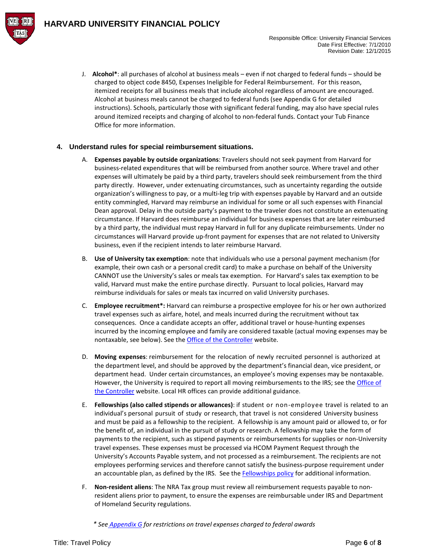J. **Alcohol\***: all purchases of alcohol at business meals – even if not charged to federal funds – should be charged to object code 8450, Expenses Ineligible for Federal Reimbursement. For this reason, itemized receipts for all business meals that include alcohol regardless of amount are encouraged. Alcohol at business meals cannot be charged to federal funds (see Appendix G for detailed instructions). Schools, particularly those with significant federal funding, may also have special rules around itemized receipts and charging of alcohol to non-federal funds. Contact your Tub Finance Office for more information.

## **4. Understand rules for special reimbursement situations.**

- A. **Expenses payable by outside organizations**: Travelers should not seek payment from Harvard for business-related expenditures that will be reimbursed from another source. Where travel and other expenses will ultimately be paid by a third party, travelers should seek reimbursement from the third party directly. However, under extenuating circumstances, such as uncertainty regarding the outside organization's willingness to pay, or a multi-leg trip with expenses payable by Harvard and an outside entity commingled, Harvard may reimburse an individual for some or all such expenses with Financial Dean approval. Delay in the outside party's payment to the traveler does not constitute an extenuating circumstance. If Harvard does reimburse an individual for business expenses that are later reimbursed by a third party, the individual must repay Harvard in full for any duplicate reimbursements. Under no circumstances will Harvard provide up-front payment for expenses that are not related to University business, even if the recipient intends to later reimburse Harvard.
- B. **Use of University tax exemption**: note that individuals who use a personal payment mechanism (for example, their own cash or a personal credit card) to make a purchase on behalf of the University CANNOT use the University's sales or meals tax exemption. For Harvard's sales tax exemption to be valid, Harvard must make the entire purchase directly. Pursuant to local policies, Harvard may reimburse individuals for sales or meals tax incurred on valid University purchases.
- C. **Employee recruitment\*:** Harvard can reimburse a prospective employee for his or her own authorized travel expenses such as airfare, hotel, and meals incurred during the recruitment without tax consequences. Once a candidate accepts an offer, additional travel or house-hunting expenses incurred by the incoming employee and family are considered taxable (actual moving expenses may be nontaxable, see below). See the [Office of the Controller](http://oc.finance.harvard.edu/how-to/tax-services/moving-recruiting-and-related-expenses) website.
- D. **Moving expenses**: reimbursement for the relocation of newly recruited personnel is authorized at the department level, and should be approved by the department's financial dean, vice president, or department head. Under certain circumstances, an employee's moving expenses may be nontaxable. However, the University is required to report all moving reimbursements to the IRS; see th[e Office of](http://oc.finance.harvard.edu/how-to/tax-services/moving-recruiting-and-related-expenses)  [the Controller](http://oc.finance.harvard.edu/how-to/tax-services/moving-recruiting-and-related-expenses) website. Local HR offices can provide additional guidance.
- E. **Fellowships (also called stipends or allowances)**: if student or non-employee travel is related to an individual's personal pursuit of study or research, that travel is not considered University business and must be paid as a fellowship to the recipient. A fellowship is any amount paid or allowed to, or for the benefit of, an individual in the pursuit of study or research. A fellowship may take the form of payments to the recipient, such as stipend payments or reimbursements for supplies or non-University travel expenses. These expenses must be processed via HCOM Payment Request through the University's Accounts Payable system, and not processed as a reimbursement. The recipients are not employees performing services and therefore cannot satisfy the business-purpose requirement under an accountable plan, as defined by the IRS. See the [Fellowships policy](http://policies.fad.harvard.edu/fellowships-vs-reimbursements) for additional information.
- F. **Non-resident aliens**: The NRA Tax group must review all reimbursement requests payable to nonresident aliens prior to payment, to ensure the expenses are reimbursable under IRS and Department of Homeland Security regulations.
	- *\* See Appendix G for restrictions on travel expenses charged to federal awards*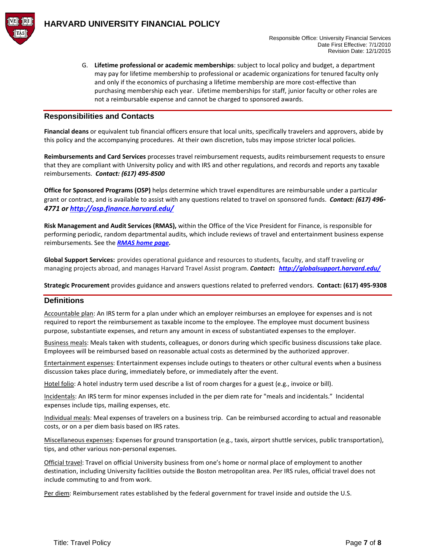

G. **Lifetime professional or academic memberships**: subject to local policy and budget, a department may pay for lifetime membership to professional or academic organizations for tenured faculty only and only if the economics of purchasing a lifetime membership are more cost-effective than purchasing membership each year. Lifetime memberships for staff, junior faculty or other roles are not a reimbursable expense and cannot be charged to sponsored awards.

### **Responsibilities and Contacts**

**Financial deans** or equivalent tub financial officers ensure that local units, specifically travelers and approvers, abide by this policy and the accompanying procedures. At their own discretion, tubs may impose stricter local policies.

**Reimbursements and Card Services** processes travel reimbursement requests, audits reimbursement requests to ensure that they are compliant with University policy and with IRS and other regulations, and records and reports any taxable reimbursements. *Contact: (617) 495-8500*

**Office for Sponsored Programs (OSP)** helps determine which travel expenditures are reimbursable under a particular grant or contract, and is available to assist with any questions related to travel on sponsored funds. *Contact: (617) 496- 4771 or<http://osp.finance.harvard.edu/>*

**Risk Management and Audit Services (RMAS),** within the Office of the Vice President for Finance, is responsible for performing periodic, random departmental audits, which include reviews of travel and entertainment business expense reimbursements. See the *[RMAS home page.](http://rmas.fad.harvard.edu/)* 

**Global Support Services:** provides operational guidance and resources to students, faculty, and staff traveling or managing projects abroad, and manages Harvard Travel Assist program. *Contact: <http://globalsupport.harvard.edu/>*

**Strategic Procurement** provides guidance and answers questions related to preferred vendors. **Contact: (617) 495-9308**

### **Definitions**

Accountable plan: An IRS term for a plan under which an employer reimburses an employee for expenses and is not required to report the reimbursement as taxable income to the employee. The employee must document business purpose, substantiate expenses, and return any amount in excess of substantiated expenses to the employer.

Business meals: Meals taken with students, colleagues, or donors during which specific business discussions take place. Employees will be reimbursed based on reasonable actual costs as determined by the authorized approver.

Entertainment expenses: Entertainment expenses include outings to theaters or other cultural events when a business discussion takes place during, immediately before, or immediately after the event.

Hotel folio: A hotel industry term used describe a list of room charges for a guest (e.g., invoice or bill).

Incidentals: An IRS term for minor expenses included in the per diem rate for "meals and incidentals." Incidental expenses include tips, mailing expenses, etc.

Individual meals: Meal expenses of travelers on a business trip. Can be reimbursed according to actual and reasonable costs, or on a per diem basis based on IRS rates.

Miscellaneous expenses: Expenses for ground transportation (e.g., taxis, airport shuttle services, public transportation), tips, and other various non-personal expenses.

Official travel: Travel on official University business from one's home or normal place of employment to another destination, including University facilities outside the Boston metropolitan area. Per IRS rules, official travel does not include commuting to and from work.

Per diem: Reimbursement rates established by the federal government for travel inside and outside the U.S.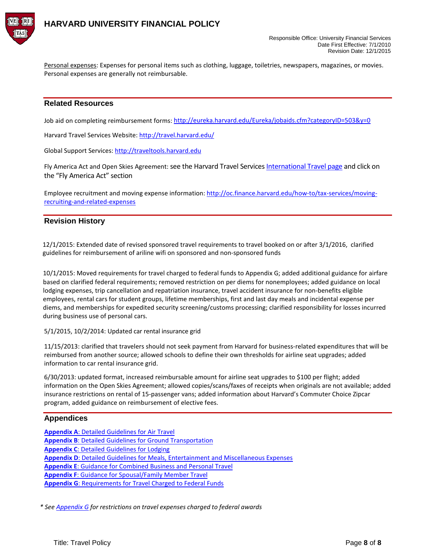

Personal expenses: Expenses for personal items such as clothing, luggage, toiletries, newspapers, magazines, or movies. Personal expenses are generally not reimbursable.

## **Related Resources**

Job aid on completing reimbursement forms: <http://eureka.harvard.edu/Eureka/jobaids.cfm?categoryID=503&y=0>

Harvard Travel Services Website: <http://travel.harvard.edu/>

Global Support Services: [http://traveltools.harvard.edu](http://traveltools.harvard.edu/)

Fly America Act and Open Skies Agreement: see the Harvard Travel Service[s International Travel page](http://www.campustravel.com/university/harvard/) and click on the ["Fly America Act"](http://www.travel.harvard.edu/travel/documents/open_skies_decision_tree.pdf) section

Employee recruitment and moving expense information: http://oc.finance.harvard.edu/how-to/tax-services/movingrecruiting-and-related-expenses

## **Revision History**

12/1/2015: Extended date of revised sponsored travel requirements to travel booked on or after 3/1/2016, clarified guidelines for reimbursement of ariline wifi on sponsored and non-sponsored funds

10/1/2015: Moved requirements for travel charged to federal funds to Appendix G; added additional guidance for airfare based on clarified federal requirements; removed restriction on per diems for nonemployees; added guidance on local lodging expenses, trip cancellation and repatriation insurance, travel accident insurance for non-benefits eligible employees, rental cars for student groups, lifetime memberships, first and last day meals and incidental expense per diems, and memberships for expedited security screening/customs processing; clarified responsibility for losses incurred during business use of personal cars.

5/1/2015, 10/2/2014: Updated car rental insurance grid

11/15/2013: clarified that travelers should not seek payment from Harvard for business-related expenditures that will be reimbursed from another source; allowed schools to define their own thresholds for airline seat upgrades; added information to car rental insurance grid.

6/30/2013: updated format, increased reimbursable amount for airline seat upgrades to \$100 per flight; added information on the Open Skies Agreement; allowed copies/scans/faxes of receipts when originals are not available; added insurance restrictions on rental of 15-passenger vans; added information about Harvard's Commuter Choice Zipcar program, added guidance on reimbursement of elective fees.

## **Appendices**

**Appendix A**: Detailed Guidelines for Air Travel **Appendix B**[: Detailed Guidelines for](#page-10-0) Ground Transportation **Appendix C**: Detailed [Guidelines for Lodging](#page-13-0)  **Appendix D**: [Detailed Guidelines for Meals,](#page-14-0) Entertainment and Miscellaneous Expenses **Appendix E**: Guidance [for Combined Business and Personal Travel](#page-15-0)  **Appendix F**[: Guidance for Spousal/Family Member](#page-16-0) Travel **Appendix G**: Requirements for Travel Charged to Federal Funds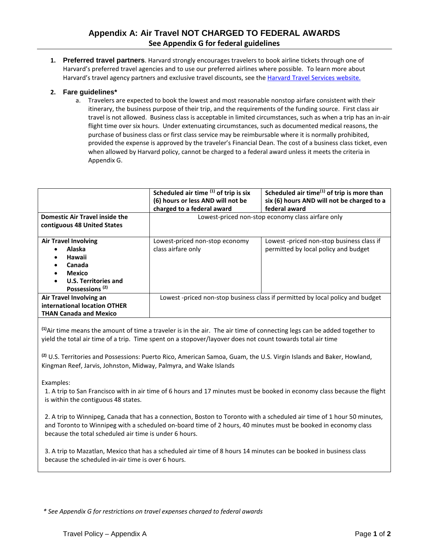## **Appendix A: Air Travel NOT CHARGED TO FEDERAL AWARDS See Appendix G for federal guidelines**

**1. Preferred travel partners**. Harvard strongly encourages travelers to book airline tickets through one of Harvard's preferred travel agencies and to use our preferred airlines where possible. To learn more about Harvard's travel agency partners and exclusive travel discounts, see the [Harvard Travel Services website.](http://travel.harvard.edu/booking-your-travel)

## **2. Fare guidelines\***

a. Travelers are expected to book the lowest and most reasonable nonstop airfare consistent with their itinerary, the business purpose of their trip, and the requirements of the funding source. First class air travel is not allowed. Business class is acceptable in limited circumstances, such as when a trip has an in-air flight time over six hours. Under extenuating circumstances, such as documented medical reasons, the purchase of business class or first class service may be reimbursable where it is normally prohibited, provided the expense is approved by the traveler's Financial Dean. The cost of a business class ticket, even when allowed by Harvard policy, cannot be charged to a federal award unless it meets the criteria in Appendix G.

|                                                                                                                                                                   | Scheduled air time $(1)$ of trip is six<br>(6) hours or less AND will not be<br>charged to a federal award | Scheduled air time $(1)$ of trip is more than<br>six (6) hours AND will not be charged to a<br>federal award |
|-------------------------------------------------------------------------------------------------------------------------------------------------------------------|------------------------------------------------------------------------------------------------------------|--------------------------------------------------------------------------------------------------------------|
| <b>Domestic Air Travel inside the</b><br>contiguous 48 United States                                                                                              | Lowest-priced non-stop economy class airfare only                                                          |                                                                                                              |
| <b>Air Travel Involving</b><br>Alaska<br>Hawaii<br>$\bullet$<br>Canada<br><b>Mexico</b><br><b>U.S. Territories and</b><br>$\bullet$<br>Possessions <sup>(2)</sup> | Lowest-priced non-stop economy<br>class airfare only                                                       | Lowest -priced non-stop business class if<br>permitted by local policy and budget                            |
| Air Travel Involving an<br>international location OTHER<br><b>THAN Canada and Mexico</b>                                                                          | Lowest-priced non-stop business class if permitted by local policy and budget                              |                                                                                                              |

**(1)**Air time means the amount of time a traveler is in the air. The air time of connecting legs can be added together to yield the total air time of a trip. Time spent on a stopover/layover does not count towards total air time

**(2)** U.S. Territories and Possessions: Puerto Rico, American Samoa, Guam, the U.S. Virgin Islands and Baker, Howland, Kingman Reef, Jarvis, Johnston, Midway, Palmyra, and Wake Islands

### Examples:

1. A trip to San Francisco with in air time of 6 hours and 17 minutes must be booked in economy class because the flight is within the contiguous 48 states.

2. A trip to Winnipeg, Canada that has a connection, Boston to Toronto with a scheduled air time of 1 hour 50 minutes, and Toronto to Winnipeg with a scheduled on-board time of 2 hours, 40 minutes must be booked in economy class because the total scheduled air time is under 6 hours.

3. A trip to Mazatlan, Mexico that has a scheduled air time of 8 hours 14 minutes can be booked in business class because the scheduled in-air time is over 6 hours.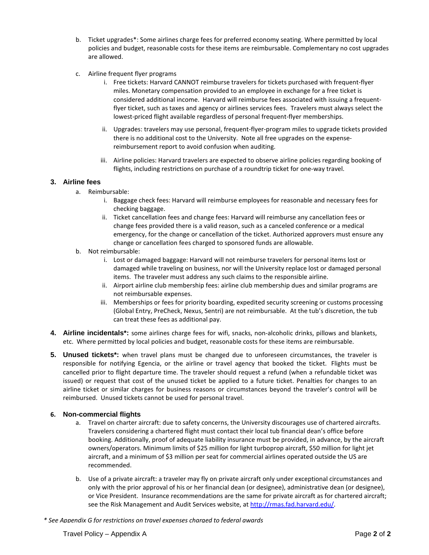- b. Ticket upgrades\*: Some airlines charge fees for preferred economy seating. Where permitted by local policies and budget, reasonable costs for these items are reimbursable. Complementary no cost upgrades are allowed.
- c. Airline frequent flyer programs
	- i. Free tickets: Harvard CANNOT reimburse travelers for tickets purchased with frequent-flyer miles. Monetary compensation provided to an employee in exchange for a free ticket is considered additional income. Harvard will reimburse fees associated with issuing a frequentflyer ticket, such as taxes and agency or airlines services fees. Travelers must always select the lowest-priced flight available regardless of personal frequent-flyer memberships.
	- ii. Upgrades: travelers may use personal, frequent-flyer-program miles to upgrade tickets provided there is no additional cost to the University. Note all free upgrades on the expensereimbursement report to avoid confusion when auditing.
	- iii. Airline policies: Harvard travelers are expected to observe airline policies regarding booking of flights, including restrictions on purchase of a roundtrip ticket for one-way travel.

## **3. Airline fees**

- a. Reimbursable:
	- i. Baggage check fees: Harvard will reimburse employees for reasonable and necessary fees for checking baggage.
	- ii. Ticket cancellation fees and change fees: Harvard will reimburse any cancellation fees or change fees provided there is a valid reason, such as a canceled conference or a medical emergency, for the change or cancellation of the ticket. Authorized approvers must ensure any change or cancellation fees charged to sponsored funds are allowable.
- b. Not reimbursable:
	- i. Lost or damaged baggage: Harvard will not reimburse travelers for personal items lost or damaged while traveling on business, nor will the University replace lost or damaged personal items. The traveler must address any such claims to the responsible airline.
	- ii. Airport airline club membership fees: airline club membership dues and similar programs are not reimbursable expenses.
	- iii. Memberships or fees for priority boarding, expedited security screening or customs processing (Global Entry, PreCheck, Nexus, Sentri) are not reimbursable. At the tub's discretion, the tub can treat these fees as additional pay.
- **4. Airline incidentals\*:** some airlines charge fees for wifi, snacks, non-alcoholic drinks, pillows and blankets, etc. Where permitted by local policies and budget, reasonable costs for these items are reimbursable.
- **5. Unused tickets\*:** when travel plans must be changed due to unforeseen circumstances, the traveler is responsible for notifying Egencia, or the airline or travel agency that booked the ticket. Flights must be cancelled prior to flight departure time. The traveler should request a refund (when a refundable ticket was issued) or request that cost of the unused ticket be applied to a future ticket. Penalties for changes to an airline ticket or similar charges for business reasons or circumstances beyond the traveler's control will be reimbursed. Unused tickets cannot be used for personal travel.

## **6. Non-commercial flights**

- a. Travel on charter aircraft: due to safety concerns, the University discourages use of chartered aircrafts. Travelers considering a chartered flight must contact their local tub financial dean's office before booking. Additionally, proof of adequate liability insurance must be provided, in advance, by the aircraft owners/operators. Minimum limits of \$25 million for light turboprop aircraft, \$50 million for light jet aircraft, and a minimum of \$3 million per seat for commercial airlines operated outside the US are recommended.
- b. Use of a private aircraft: a traveler may fly on private aircraft only under exceptional circumstances and only with the prior approval of his or her financial dean (or designee), administrative dean (or designee), or Vice President. Insurance recommendations are the same for private aircraft as for chartered aircraft; see the Risk Management and Audit Services website, at [http://rmas.fad.harvard.edu/.](http://rmas.fad.harvard.edu/)
- *\* See Appendix G for restrictions on travel expenses charged to federal awards*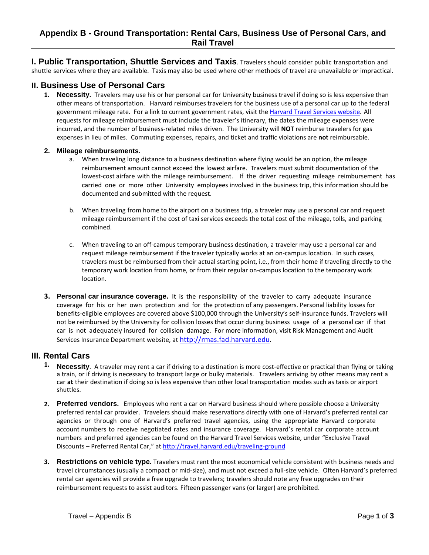<span id="page-10-0"></span>**I. Public Transportation, Shuttle Services and Taxis**. Travelers should consider public transportation and shuttle services where they are available. Taxis may also be used where other methods of travel are unavailable or impractical.

## **II. Business Use of Personal Cars**

**1. Necessity.** Travelers may use his or her personal car for University business travel if doing so is less expensive than other means of transportation. Harvard reimburses travelers for the business use of a personal car up to the federal government mileage rate. For a link to current government rates, visit the [Harvard Travel Services website.](http://travel.harvard.edu/resources) All requests for mileage reimbursement must include the traveler's itinerary, the dates the mileage expenses were incurred, and the number of business-related miles driven. The University will **NOT** reimburse travelers for gas expenses in lieu of miles. Commuting expenses, repairs, and ticket and traffic violations are **not** reimbursable.

### **2. Mileage reimbursements.**

- a. When traveling long distance to a business destination where flying would be an option, the mileage reimbursement amount cannot exceed the lowest airfare. Travelers must submit documentation of the lowest-cost airfare with the mileage reimbursement. If the driver requesting mileage reimbursement has carried one or more other University employees involved in the business trip, this information should be documented and submitted with the request.
- b. When traveling from home to the airport on a business trip, a traveler may use a personal car and request mileage reimbursement if the cost of taxi services exceeds the total cost of the mileage, tolls, and parking combined.
- c. When traveling to an off-campus temporary business destination, a traveler may use a personal car and request mileage reimbursement if the traveler typically works at an on-campus location. In such cases, travelers must be reimbursed from their actual starting point, i.e., from their home if traveling directly to the temporary work location from home, or from their regular on-campus location to the temporary work location.
- **3. Personal car insurance coverage.** It is the responsibility of the traveler to carry adequate insurance coverage for his or her own protection and for the protection of any passengers. Personal liability losses for benefits-eligible employees are covered above \$100,000 through the University's self-insurance funds. Travelers will not be reimbursed by the University for collision losses that occur during business usage of a personal car if that car is not adequately insured for collision damage. For more information, visit Risk Management and Audit Services Insurance Department website, a[t http://rmas.fad.harvard.edu.](http://vpf-web.harvard.edu/rmas/insurance.html)

## **III. Rental Cars**

- **1. Necessity**. A traveler may rent a car if driving to a destination is more cost-effective or practical than flying or taking a train, or if driving is necessary to transport large or bulky materials. Travelers arriving by other means may rent a car **at** their destination if doing so is less expensive than other local transportation modes such as taxis or airport shuttles.
- **2. Preferred vendors.** Employees who rent a car on Harvard business should where possible choose a University preferred rental car provider. Travelers should make reservations directly with one of Harvard's preferred rental car agencies or through one of Harvard's preferred travel agencies, using the appropriate Harvard corporate account numbers to receive negotiated rates and insurance coverage. Harvard's rental car corporate account numbers and preferred agencies can be found on the Harvard Travel Services website, under "Exclusive Travel Discounts – Preferred Rental Car," at <http://travel.harvard.edu/traveling-ground>
- **3. Restrictions on vehicle type.** Travelers must rent the most economical vehicle consistent with business needs and travel circumstances (usually a compact or mid-size), and must not exceed a full-size vehicle. Often Harvard's preferred rental car agencies will provide a free upgrade to travelers; travelers should note any free upgrades on their reimbursement requests to assist auditors. Fifteen passenger vans (or larger) are prohibited.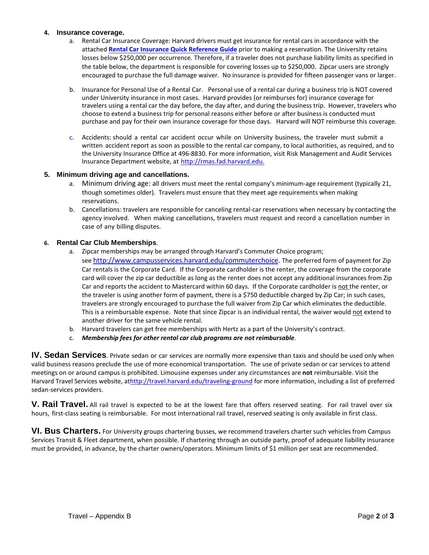#### **4. Insurance coverage.**

- a. Rental Car Insurance Coverage: Harvard drivers must get insurance for rental cars in accordance with the attached **[Rental Car Insurance Quick Reference Guide](#page-12-0)** prior to making a reservation. The University retains losses below \$250,000 per occurrence. Therefore, if a traveler does not purchase liability limits as specified in the table below, the department is responsible for covering losses up to \$250,000. Zipcar users are strongly encouraged to purchase the full damage waiver. No insurance is provided for fifteen passenger vans or larger.
- b. Insurance for Personal Use of a Rental Car. Personal use of a rental car during a business trip is NOT covered under University insurance in most cases. Harvard provides (or reimburses for) insurance coverage for travelers using a rental car the day before, the day after, and during the business trip. However, travelers who choose to extend a business trip for personal reasons either before or after business is conducted must purchase and pay for their own insurance coverage for those days. Harvard will NOT reimburse this coverage.
- c. Accidents: should a rental car accident occur while on University business, the traveler must submit a written accident report as soon as possible to the rental car company, to local authorities, as required, and to the University Insurance Office at 496-8830. For more information, visit Risk Management and Audit Services Insurance Department website, at [http://rmas.fad.harvard.edu.](http://rmas.fad.harvard.edu/pages/online-risk-management-system-0)

### **5. Minimum driving age and cancellations.**

- a. Minimum driving age: all drivers must meet the rental company's minimum-age requirement (typically 21, though sometimes older). Travelers must ensure that they meet age requirements when making reservations.
- b. Cancellations: travelers are responsible for canceling rental-car reservations when necessary by contacting the agency involved. When making cancellations, travelers must request and record a cancellation number in case of any billing disputes.

#### **6. Rental Car Club Memberships**.

- a. Zipcar memberships may be arranged through Harvard's Commuter Choice program; see [http://www.campusservices.harvard.edu/commuterchoice.](http://www.campusservices.harvard.edu/commuterchoice) The preferred form of payment for Zip Car rentals is the Corporate Card. If the Corporate cardholder is the renter, the coverage from the corporate card will cover the zip car deductible as long as the renter does not accept any additional insurances from Zip Car and reports the accident to Mastercard within 60 days. If the Corporate cardholder is not the renter, or the traveler is using another form of payment, there is a \$750 deductible charged by Zip Car; in such cases, travelers are strongly encouraged to purchase the full waiver from Zip Car which eliminates the deductible. This is a reimbursable expense. Note that since Zipcar is an individual rental, the waiver would not extend to another driver for the same vehicle rental.
- b. Harvard travelers can get free memberships with Hertz as a part of the University's contract.
- c. *Membership fees for other rental car club programs are not reimbursable*.

**IV. Sedan Services**. Private sedan or car services are normally more expensive than taxis and should be used only when valid business reasons preclude the use of more economical transportation. The use of private sedan or car services to attend meetings on or around campus is prohibited. Limousine expenses under any circumstances are **not** reimbursable. Visit the Harvard Travel Services website, a[thttp://travel.harvard.edu/traveling-ground f](http://travel.harvard.edu/traveling-ground)or more information, including a list of preferred sedan-services providers.

V. Rail Travel. All rail travel is expected to be at the lowest fare that offers reserved seating. For rail travel over six hours, first-class seating is reimbursable. For most international rail travel, reserved seating is only available in first class.

**VI. Bus Charters.** For University groups chartering busses, we recommend travelers charter such vehicles from Campus Services Transit & Fleet department, when possible. If chartering through an outside party, proof of adequate liability insurance must be provided, in advance, by the charter owners/operators. Minimum limits of \$1 million per seat are recommended.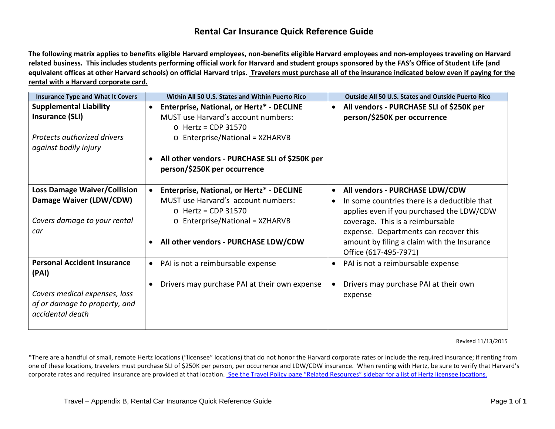## **Rental Car Insurance Quick Reference Guide**

<span id="page-12-0"></span>**The following matrix applies to benefits eligible Harvard employees, non-benefits eligible Harvard employees and non-employees traveling on Harvard related business. This includes students performing official work for Harvard and student groups sponsored by the FAS's Office of Student Life (and equivalent offices at other Harvard schools) on official Harvard trips. Travelers must purchase all of the insurance indicated below even if paying for the rental with a Harvard corporate card.**

| <b>Insurance Type and What It Covers</b>          | Within All 50 U.S. States and Within Puerto Rico |           | <b>Outside All 50 U.S. States and Outside Puerto Rico</b> |
|---------------------------------------------------|--------------------------------------------------|-----------|-----------------------------------------------------------|
| <b>Supplemental Liability</b>                     | Enterprise, National, or Hertz* - DECLINE        | $\bullet$ | All vendors - PURCHASE SLI of \$250K per                  |
| Insurance (SLI)                                   | MUST use Harvard's account numbers:              |           | person/\$250K per occurrence                              |
|                                                   | $\circ$ Hertz = CDP 31570                        |           |                                                           |
| <b>Protects authorized drivers</b>                | $\circ$ Enterprise/National = XZHARVB            |           |                                                           |
| against bodily injury                             |                                                  |           |                                                           |
|                                                   | All other vendors - PURCHASE SLI of \$250K per   |           |                                                           |
|                                                   | person/\$250K per occurrence                     |           |                                                           |
|                                                   |                                                  |           |                                                           |
| <b>Loss Damage Waiver/Collision</b>               | Enterprise, National, or Hertz* - DECLINE        | $\bullet$ | All vendors - PURCHASE LDW/CDW                            |
| Damage Waiver (LDW/CDW)                           | MUST use Harvard's account numbers:              | $\bullet$ | In some countries there is a deductible that              |
|                                                   | $\circ$ Hertz = CDP 31570                        |           | applies even if you purchased the LDW/CDW                 |
| Covers damage to your rental                      | $\circ$ Enterprise/National = XZHARVB            |           | coverage. This is a reimbursable                          |
| car                                               |                                                  |           | expense. Departments can recover this                     |
|                                                   | All other vendors - PURCHASE LDW/CDW             |           | amount by filing a claim with the Insurance               |
|                                                   |                                                  |           | Office (617-495-7971)                                     |
| <b>Personal Accident Insurance</b>                | PAI is not a reimbursable expense<br>$\bullet$   | $\bullet$ | PAI is not a reimbursable expense                         |
| (PAI)                                             |                                                  |           |                                                           |
|                                                   | Drivers may purchase PAI at their own expense    |           | Drivers may purchase PAI at their own                     |
| Covers medical expenses, loss                     |                                                  |           | expense                                                   |
|                                                   |                                                  |           |                                                           |
|                                                   |                                                  |           |                                                           |
| of or damage to property, and<br>accidental death |                                                  |           |                                                           |

Revised 11/13/2015

\*There are a handful of small, remote Hertz locations ("licensee" locations) that do not honor the Harvard corporate rates or include the required insurance; if renting from one of these locations, travelers must purchase SLI of \$250K per person, per occurrence and LDW/CDW insurance. When renting with Hertz, be sure to verify that Harvard's corporate rates and required insurance are provided at that location. [See the Travel Policy page "Related Resources" sidebar for a](http://policies.fad.harvard.edu/pages/travel-0) list of Hertz licensee locations.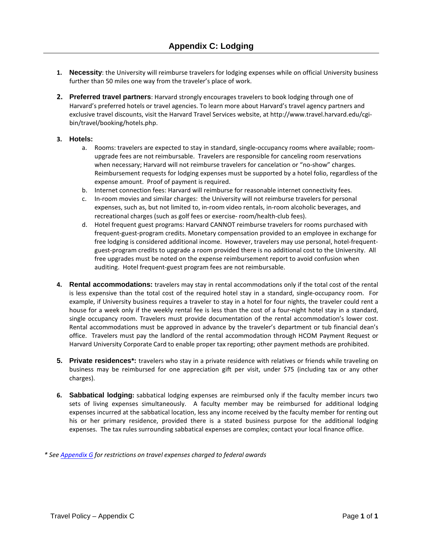- <span id="page-13-0"></span>**1. Necessity**: the University will reimburse travelers for lodging expenses while on official University business further than 50 miles one way from the traveler's place of work.
- **2. Preferred travel partners**: Harvard strongly encourages travelers to book lodging through one of Harvard's preferred hotels or travel agencies. To learn more about Harvard's travel agency partners and exclusive travel discounts, visit the Harvard Travel Services website, at [http://www.travel.harvard.edu/cgi](http://www.travel.harvard.edu/cgi-bin/travel/booking/hotels.php)[bin/travel/booking/hotels.php.](http://www.travel.harvard.edu/cgi-bin/travel/booking/hotels.php)

#### **3. Hotels:**

- a. Rooms: travelers are expected to stay in standard, single-occupancy rooms where available; roomupgrade fees are not reimbursable. Travelers are responsible for canceling room reservations when necessary; Harvard will not reimburse travelers for cancelation or "no-show" charges. Reimbursement requests for lodging expenses must be supported by a hotel folio, regardless of the expense amount. Proof of payment is required.
- b. Internet connection fees: Harvard will reimburse for reasonable internet connectivity fees.
- c. In-room movies and similar charges: the University will not reimburse travelers for personal expenses, such as, but not limited to, in-room video rentals, in-room alcoholic beverages, and recreational charges (such as golf fees or exercise- room/health-club fees).
- d. Hotel frequent guest programs: Harvard CANNOT reimburse travelers for rooms purchased with frequent-guest-program credits. Monetary compensation provided to an employee in exchange for free lodging is considered additional income. However, travelers may use personal, hotel-frequentguest-program credits to upgrade a room provided there is no additional cost to the University. All free upgrades must be noted on the expense reimbursement report to avoid confusion when auditing. Hotel frequent-guest program fees are not reimbursable.
- **4. Rental accommodations:** travelers may stay in rental accommodations only if the total cost of the rental is less expensive than the total cost of the required hotel stay in a standard, single-occupancy room. For example, if University business requires a traveler to stay in a hotel for four nights, the traveler could rent a house for a week only if the weekly rental fee is less than the cost of a four-night hotel stay in a standard, single occupancy room. Travelers must provide documentation of the rental accommodation's lower cost. Rental accommodations must be approved in advance by the traveler's department or tub financial dean's office. Travelers must pay the landlord of the rental accommodation through HCOM Payment Request or Harvard University Corporate Card to enable proper tax reporting; other payment methods are prohibited.
- **5. Private residences\*:** travelers who stay in a private residence with relatives or friends while traveling on business may be reimbursed for one appreciation gift per visit, under \$75 (including tax or any other charges).
- **6. Sabbatical lodging:** sabbatical lodging expenses are reimbursed only if the faculty member incurs two sets of living expenses simultaneously. A faculty member may be reimbursed for additional lodging expenses incurred at the sabbatical location, less any income received by the faculty member for renting out his or her primary residence, provided there is a stated business purpose for the additional lodging expenses. The tax rules surrounding sabbatical expenses are complex; contact your local finance office.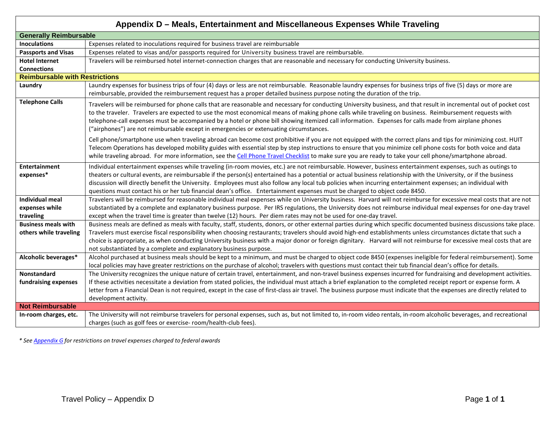<span id="page-14-0"></span>

| Appendix D - Meals, Entertainment and Miscellaneous Expenses While Traveling |                                                                                                                                                                                                                                                                                                                                                                                                                                                                                                                                                                                                                                 |  |
|------------------------------------------------------------------------------|---------------------------------------------------------------------------------------------------------------------------------------------------------------------------------------------------------------------------------------------------------------------------------------------------------------------------------------------------------------------------------------------------------------------------------------------------------------------------------------------------------------------------------------------------------------------------------------------------------------------------------|--|
| <b>Generally Reimbursable</b>                                                |                                                                                                                                                                                                                                                                                                                                                                                                                                                                                                                                                                                                                                 |  |
| <b>Inoculations</b>                                                          | Expenses related to inoculations required for business travel are reimbursable                                                                                                                                                                                                                                                                                                                                                                                                                                                                                                                                                  |  |
| <b>Passports and Visas</b>                                                   | Expenses related to visas and/or passports required for University business travel are reimbursable.                                                                                                                                                                                                                                                                                                                                                                                                                                                                                                                            |  |
| <b>Hotel Internet</b>                                                        | Travelers will be reimbursed hotel internet-connection charges that are reasonable and necessary for conducting University business.                                                                                                                                                                                                                                                                                                                                                                                                                                                                                            |  |
| <b>Connections</b>                                                           |                                                                                                                                                                                                                                                                                                                                                                                                                                                                                                                                                                                                                                 |  |
| <b>Reimbursable with Restrictions</b>                                        |                                                                                                                                                                                                                                                                                                                                                                                                                                                                                                                                                                                                                                 |  |
| Laundry                                                                      | Laundry expenses for business trips of four (4) days or less are not reimbursable. Reasonable laundry expenses for business trips of five (5) days or more are                                                                                                                                                                                                                                                                                                                                                                                                                                                                  |  |
|                                                                              | reimbursable, provided the reimbursement request has a proper detailed business purpose noting the duration of the trip.                                                                                                                                                                                                                                                                                                                                                                                                                                                                                                        |  |
| <b>Telephone Calls</b>                                                       | Travelers will be reimbursed for phone calls that are reasonable and necessary for conducting University business, and that result in incremental out of pocket cost<br>to the traveler. Travelers are expected to use the most economical means of making phone calls while traveling on business. Reimbursement requests with<br>telephone-call expenses must be accompanied by a hotel or phone bill showing itemized call information. Expenses for calls made from airplane phones<br>("airphones") are not reimbursable except in emergencies or extenuating circumstances.                                               |  |
|                                                                              | Cell phone/smartphone use when traveling abroad can become cost prohibitive if you are not equipped with the correct plans and tips for minimizing cost. HUIT<br>Telecom Operations has developed mobility guides with essential step by step instructions to ensure that you minimize cell phone costs for both voice and data<br>while traveling abroad. For more information, see the Cell Phone Travel Checklist to make sure you are ready to take your cell phone/smartphone abroad.                                                                                                                                      |  |
| <b>Entertainment</b><br>expenses*                                            | Individual entertainment expenses while traveling (in-room movies, etc.) are not reimbursable. However, business entertainment expenses, such as outings to<br>theaters or cultural events, are reimbursable if the person(s) entertained has a potential or actual business relationship with the University, or if the business<br>discussion will directly benefit the University. Employees must also follow any local tub policies when incurring entertainment expenses; an individual with<br>questions must contact his or her tub financial dean's office. Entertainment expenses must be charged to object code 8450. |  |
| <b>Individual meal</b>                                                       | Travelers will be reimbursed for reasonable individual meal expenses while on University business. Harvard will not reimburse for excessive meal costs that are not                                                                                                                                                                                                                                                                                                                                                                                                                                                             |  |
| expenses while                                                               | substantiated by a complete and explanatory business purpose. Per IRS regulations, the University does not reimburse individual meal expenses for one-day travel                                                                                                                                                                                                                                                                                                                                                                                                                                                                |  |
| traveling                                                                    | except when the travel time is greater than twelve (12) hours. Per diem rates may not be used for one-day travel.                                                                                                                                                                                                                                                                                                                                                                                                                                                                                                               |  |
| <b>Business meals with</b>                                                   | Business meals are defined as meals with faculty, staff, students, donors, or other external parties during which specific documented business discussions take place.                                                                                                                                                                                                                                                                                                                                                                                                                                                          |  |
| others while traveling                                                       | Travelers must exercise fiscal responsibility when choosing restaurants; travelers should avoid high-end establishments unless circumstances dictate that such a                                                                                                                                                                                                                                                                                                                                                                                                                                                                |  |
|                                                                              | choice is appropriate, as when conducting University business with a major donor or foreign dignitary. Harvard will not reimburse for excessive meal costs that are                                                                                                                                                                                                                                                                                                                                                                                                                                                             |  |
| Alcoholic beverages*                                                         | not substantiated by a complete and explanatory business purpose.<br>Alcohol purchased at business meals should be kept to a minimum, and must be charged to object code 8450 (expenses ineligible for federal reimbursement). Some                                                                                                                                                                                                                                                                                                                                                                                             |  |
|                                                                              | local policies may have greater restrictions on the purchase of alcohol; travelers with questions must contact their tub financial dean's office for details.                                                                                                                                                                                                                                                                                                                                                                                                                                                                   |  |
| <b>Nonstandard</b>                                                           | The University recognizes the unique nature of certain travel, entertainment, and non-travel business expenses incurred for fundraising and development activities.                                                                                                                                                                                                                                                                                                                                                                                                                                                             |  |
| fundraising expenses                                                         | If these activities necessitate a deviation from stated policies, the individual must attach a brief explanation to the completed receipt report or expense form. A                                                                                                                                                                                                                                                                                                                                                                                                                                                             |  |
|                                                                              | letter from a Financial Dean is not required, except in the case of first-class air travel. The business purpose must indicate that the expenses are directly related to                                                                                                                                                                                                                                                                                                                                                                                                                                                        |  |
|                                                                              | development activity.                                                                                                                                                                                                                                                                                                                                                                                                                                                                                                                                                                                                           |  |
| <b>Not Reimbursable</b>                                                      |                                                                                                                                                                                                                                                                                                                                                                                                                                                                                                                                                                                                                                 |  |
| In-room charges, etc.                                                        | The University will not reimburse travelers for personal expenses, such as, but not limited to, in-room video rentals, in-room alcoholic beverages, and recreational                                                                                                                                                                                                                                                                                                                                                                                                                                                            |  |
|                                                                              | charges (such as golf fees or exercise- room/health-club fees).                                                                                                                                                                                                                                                                                                                                                                                                                                                                                                                                                                 |  |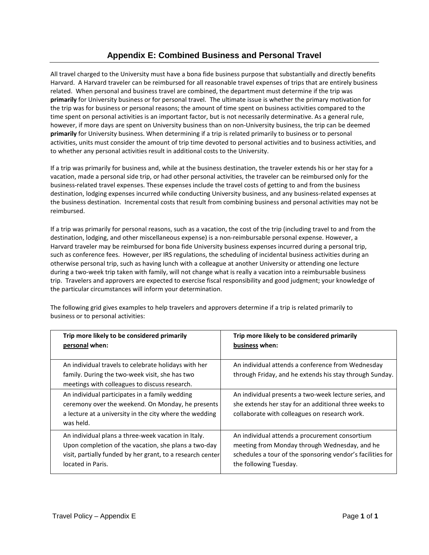## **Appendix E: Combined Business and Personal Travel**

<span id="page-15-0"></span>All travel charged to the University must have a bona fide business purpose that substantially and directly benefits Harvard. A Harvard traveler can be reimbursed for all reasonable travel expenses of trips that are entirely business related. When personal and business travel are combined, the department must determine if the trip was **primarily** for University business or for personal travel. The ultimate issue is whether the primary motivation for the trip was for business or personal reasons; the amount of time spent on business activities compared to the time spent on personal activities is an important factor, but is not necessarily determinative. As a general rule, however, if more days are spent on University business than on non-University business, the trip can be deemed **primarily** for University business. When determining if a trip is related primarily to business or to personal activities, units must consider the amount of trip time devoted to personal activities and to business activities, and to whether any personal activities result in additional costs to the University.

If a trip was primarily for business and, while at the business destination, the traveler extends his or her stay for a vacation, made a personal side trip, or had other personal activities, the traveler can be reimbursed only for the business-related travel expenses. These expenses include the travel costs of getting to and from the business destination, lodging expenses incurred while conducting University business, and any business-related expenses at the business destination. Incremental costs that result from combining business and personal activities may not be reimbursed.

If a trip was primarily for personal reasons, such as a vacation, the cost of the trip (including travel to and from the destination, lodging, and other miscellaneous expense) is a non-reimbursable personal expense. However, a Harvard traveler may be reimbursed for bona fide University business expenses incurred during a personal trip, such as conference fees. However, per IRS regulations, the scheduling of incidental business activities during an otherwise personal trip, such as having lunch with a colleague at another University or attending one lecture during a two-week trip taken with family, will not change what is really a vacation into a reimbursable business trip. Travelers and approvers are expected to exercise fiscal responsibility and good judgment; your knowledge of the particular circumstances will inform your determination.

The following grid gives examples to help travelers and approvers determine if a trip is related primarily to business or to personal activities:

| Trip more likely to be considered primarily                                                                                                                                 | Trip more likely to be considered primarily                                                                                                                     |
|-----------------------------------------------------------------------------------------------------------------------------------------------------------------------------|-----------------------------------------------------------------------------------------------------------------------------------------------------------------|
| personal when:                                                                                                                                                              | business when:                                                                                                                                                  |
| An individual travels to celebrate holidays with her<br>family. During the two-week visit, she has two<br>meetings with colleagues to discuss research.                     | An individual attends a conference from Wednesday<br>through Friday, and he extends his stay through Sunday.                                                    |
| An individual participates in a family wedding<br>ceremony over the weekend. On Monday, he presents<br>a lecture at a university in the city where the wedding<br>was held. | An individual presents a two-week lecture series, and<br>she extends her stay for an additional three weeks to<br>collaborate with colleagues on research work. |
| An individual plans a three-week vacation in Italy.                                                                                                                         | An individual attends a procurement consortium                                                                                                                  |
| Upon completion of the vacation, she plans a two-day                                                                                                                        | meeting from Monday through Wednesday, and he                                                                                                                   |
| visit, partially funded by her grant, to a research center                                                                                                                  | schedules a tour of the sponsoring vendor's facilities for                                                                                                      |
| located in Paris.                                                                                                                                                           | the following Tuesday.                                                                                                                                          |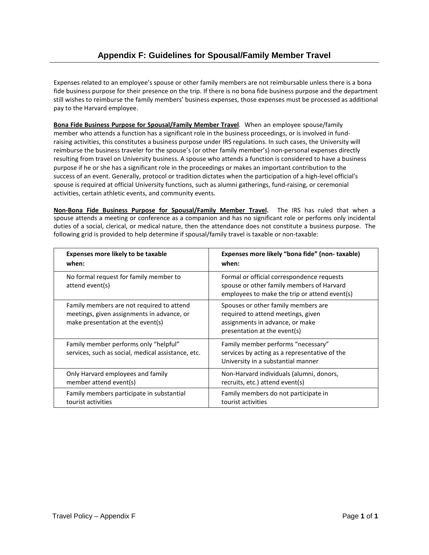<span id="page-16-0"></span>Expenses related to an employee's spouse or other family members are not reimbursable unless there is a bona fide business purpose for their presence on the trip. If there is no bona fide business purpose and the department still wishes to reimburse the family members' business expenses, those expenses must be processed as additional pay to the Harvard employee.

**Bona Fide Business Purpose for Spousal/Family Member Travel**. When an employee spouse/family member who attends a function has a significant role in the business proceedings, or is involved in fundraising activities, this constitutes a business purpose under IRS regulations. In such cases, the University will reimburse the business traveler for the spouse's (or other family member's) non-personal expenses directly resulting from travel on University business. A spouse who attends a function is considered to have a business purpose if he or she has a significant role in the proceedings or makes an important contribution to the success of an event. Generally, protocol or tradition dictates when the participation of a high-level official's spouse is required at official University functions, such as alumni gatherings, fund-raising, or ceremonial activities, certain athletic events, and community events.

**Non-Bona Fide Business Purpose for Spousal/Family Member Travel.** The IRS has ruled that when a spouse attends a meeting or conference as a companion and has no significant role or performs only incidental duties of a social, clerical, or medical nature, then the attendance does not constitute a business purpose. The following grid is provided to help determine if spousal/family travel is taxable or non-taxable:

| <b>Expenses more likely to be taxable</b>                                                                                    | Expenses more likely "bona fide" (non-taxable)                                                                                               |
|------------------------------------------------------------------------------------------------------------------------------|----------------------------------------------------------------------------------------------------------------------------------------------|
| when:                                                                                                                        | when:                                                                                                                                        |
| No formal request for family member to<br>attend event(s)                                                                    | Formal or official correspondence requests<br>spouse or other family members of Harvard<br>employees to make the trip or attend event(s)     |
| Family members are not required to attend<br>meetings, given assignments in advance, or<br>make presentation at the event(s) | Spouses or other family members are<br>required to attend meetings, given<br>assignments in advance, or make<br>presentation at the event(s) |
| Family member performs only "helpful"<br>services, such as social, medical assistance, etc.                                  | Family member performs "necessary"<br>services by acting as a representative of the<br>University in a substantial manner                    |
| Only Harvard employees and family                                                                                            | Non-Harvard individuals (alumni, donors,                                                                                                     |
| member attend event(s)                                                                                                       | recruits, etc.) attend event(s)                                                                                                              |
| Family members participate in substantial                                                                                    | Family members do not participate in                                                                                                         |
| tourist activities                                                                                                           | tourist activities                                                                                                                           |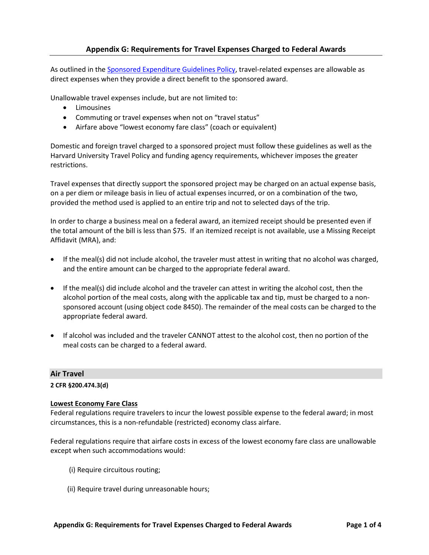As outlined in the [Sponsored Expenditure Guidelines Policy,](http://osp.finance.harvard.edu/sponsored-expenditures-guidelines) travel-related expenses are allowable as direct expenses when they provide a direct benefit to the sponsored award.

Unallowable travel expenses include, but are not limited to:

- **Limousines**
- Commuting or travel expenses when not on "travel status"
- Airfare above "lowest economy fare class" (coach or equivalent)

Domestic and foreign travel charged to a sponsored project must follow these guidelines as well as the Harvard University Travel Policy and funding agency requirements, whichever imposes the greater restrictions.

Travel expenses that directly support the sponsored project may be charged on an actual expense basis, on a per diem or mileage basis in lieu of actual expenses incurred, or on a combination of the two, provided the method used is applied to an entire trip and not to selected days of the trip.

In order to charge a business meal on a federal award, an itemized receipt should be presented even if the total amount of the bill is less than \$75. If an itemized receipt is not available, use a Missing Receipt Affidavit (MRA), and:

- If the meal(s) did not include alcohol, the traveler must attest in writing that no alcohol was charged, and the entire amount can be charged to the appropriate federal award.
- If the meal(s) did include alcohol and the traveler can attest in writing the alcohol cost, then the alcohol portion of the meal costs, along with the applicable tax and tip, must be charged to a nonsponsored account (using object code 8450). The remainder of the meal costs can be charged to the appropriate federal award.
- If alcohol was included and the traveler CANNOT attest to the alcohol cost, then no portion of the meal costs can be charged to a federal award.

## **Air Travel**

**2 CFR §200.474.3(d)**

### **Lowest Economy Fare Class**

Federal regulations require travelers to incur the lowest possible expense to the federal award; in most circumstances, this is a non-refundable (restricted) economy class airfare.

Federal regulations require that airfare costs in excess of the lowest economy fare class are unallowable except when such accommodations would:

- (i) Require circuitous routing;
- (ii) Require travel during unreasonable hours;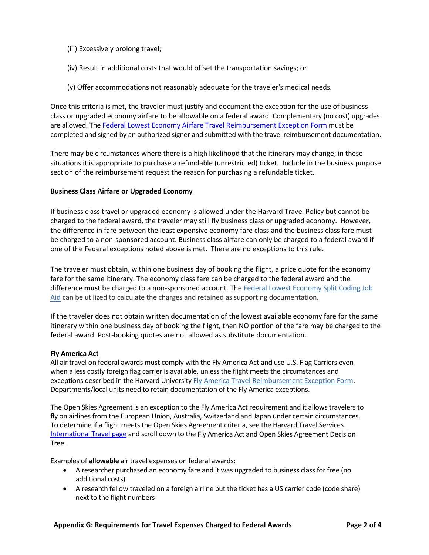- (iii) Excessively prolong travel;
- (iv) Result in additional costs that would offset the transportation savings; or
- (v) Offer accommodations not reasonably adequate for the traveler's medical needs.

Once this criteria is met, the traveler must justify and document the exception for the use of businessclass or upgraded economy airfare to be allowable on a federal award. Complementary (no cost) upgrades are allowed. The Federal Lowest Economy Airfare Travel Reimbursement Exception Form must be completed and signed by an authorized signer and submitted with the travel reimbursement documentation.

There may be circumstances where there is a high likelihood that the itinerary may change; in these situations it is appropriate to purchase a refundable (unrestricted) ticket. Include in the business purpose section of the reimbursement request the reason for purchasing a refundable ticket.

### **Business Class Airfare or Upgraded Economy**

If business class travel or upgraded economy is allowed under the Harvard Travel Policy but cannot be charged to the federal award, the traveler may still fly business class or upgraded economy. However, the difference in fare between the least expensive economy fare class and the business class fare must be charged to a non-sponsored account. Business class airfare can only be charged to a federal award if one of the Federal exceptions noted above is met. There are no exceptions to this rule.

The traveler must obtain, within one business day of booking the flight, a price quote for the economy fare for the same itinerary. The economy class fare can be charged to the federal award and the difference **must** be charged to a non-sponsored account. The [Federal Lowest Economy Split Coding Job](http://osp.finance.harvard.edu/files/osp/files/federal_awards_airfare_cost_allocation_coding_job_aid_1616.docx?m=1452107813)  [Aid](http://osp.finance.harvard.edu/files/osp/files/federal_awards_airfare_cost_allocation_coding_job_aid_1616.docx?m=1452107813) can be utilized to calculate the charges and retained as supporting documentation.

If the traveler does not obtain written documentation of the lowest available economy fare for the same itinerary within one business day of booking the flight, then NO portion of the fare may be charged to the federal award. Post-booking quotes are not allowed as substitute documentation.

### **Fly America Act**

All air travel on federal awards must comply with the Fly America Act and use U.S. Flag Carriers even when a less costly foreign flag carrier is available, unless the flight meets the circumstances and exceptions described in the Harvard University [Fly America Travel Reimbursement Exception Form.](http://osp.finance.harvard.edu/files/osp/files/fly_america_form_nov_2015_2.docx?m=1452108034) Departments/local units need to retain documentation of the Fly America exceptions.

The Open Skies Agreement is an exception to the Fly America Act requirement and it allows travelers to fly on airlines from the European Union, Australia, Switzerland and Japan under certain circumstances. To determine if a flight meets the Open Skies Agreement criteria, see the Harvard Travel Services [International Travel page](http://travel.harvard.edu/international-travel) and scroll down to the [Fly America Act and Open Skies Agreement Decision](http://www.travel.harvard.edu/travel/documents/open_skies_decision_tree.pdf)  [Tree.](http://www.travel.harvard.edu/travel/documents/open_skies_decision_tree.pdf)

Examples of **allowable** air travel expenses on federal awards:

- A researcher purchased an economy fare and it was upgraded to business class for free (no additional costs)
- A research fellow traveled on a foreign airline but the ticket has a US carrier code (code share) next to the flight numbers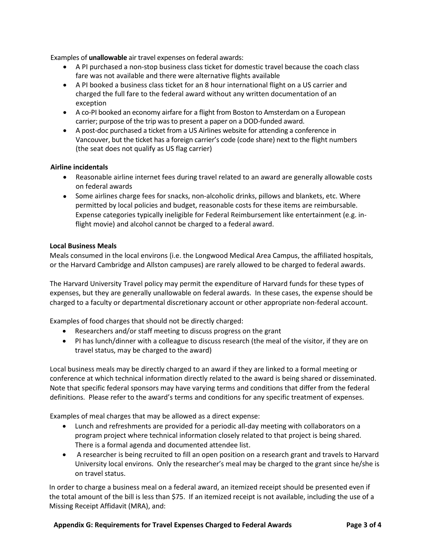Examples of **unallowable** air travel expenses on federal awards:

- A PI purchased a non-stop business class ticket for domestic travel because the coach class fare was not available and there were alternative flights available
- A PI booked a business class ticket for an 8 hour international flight on a US carrier and charged the full fare to the federal award without any written documentation of an exception
- A co-PI booked an economy airfare for a flight from Boston to Amsterdam on a European carrier; purpose of the trip was to present a paper on a DOD-funded award.
- A post-doc purchased a ticket from a US Airlines website for attending a conference in Vancouver, but the ticket has a foreign carrier's code (code share) next to the flight numbers (the seat does not qualify as US flag carrier)

## **Airline incidentals**

- Reasonable airline internet fees during travel related to an award are generally allowable costs on federal awards
- Some airlines charge fees for snacks, non-alcoholic drinks, pillows and blankets, etc. Where permitted by local policies and budget, reasonable costs for these items are reimbursable. Expense categories typically ineligible for Federal Reimbursement like entertainment (e.g. inflight movie) and alcohol cannot be charged to a federal award.

## **Local Business Meals**

Meals consumed in the local environs (i.e. the Longwood Medical Area Campus, the affiliated hospitals, or the Harvard Cambridge and Allston campuses) are rarely allowed to be charged to federal awards.

The Harvard University Travel policy may permit the expenditure of Harvard funds for these types of expenses, but they are generally unallowable on federal awards. In these cases, the expense should be charged to a faculty or departmental discretionary account or other appropriate non-federal account.

Examples of food charges that should not be directly charged:

- Researchers and/or staff meeting to discuss progress on the grant
- PI has lunch/dinner with a colleague to discuss research (the meal of the visitor, if they are on travel status, may be charged to the award)

Local business meals may be directly charged to an award if they are linked to a formal meeting or conference at which technical information directly related to the award is being shared or disseminated. Note that specific federal sponsors may have varying terms and conditions that differ from the federal definitions. Please refer to the award's terms and conditions for any specific treatment of expenses.

Examples of meal charges that may be allowed as a direct expense:

- Lunch and refreshments are provided for a periodic all-day meeting with collaborators on a program project where technical information closely related to that project is being shared. There is a formal agenda and documented attendee list.
- A researcher is being recruited to fill an open position on a research grant and travels to Harvard University local environs. Only the researcher's meal may be charged to the grant since he/she is on travel status.

In order to charge a business meal on a federal award, an itemized receipt should be presented even if the total amount of the bill is less than \$75. If an itemized receipt is not available, including the use of a Missing Receipt Affidavit (MRA), and: